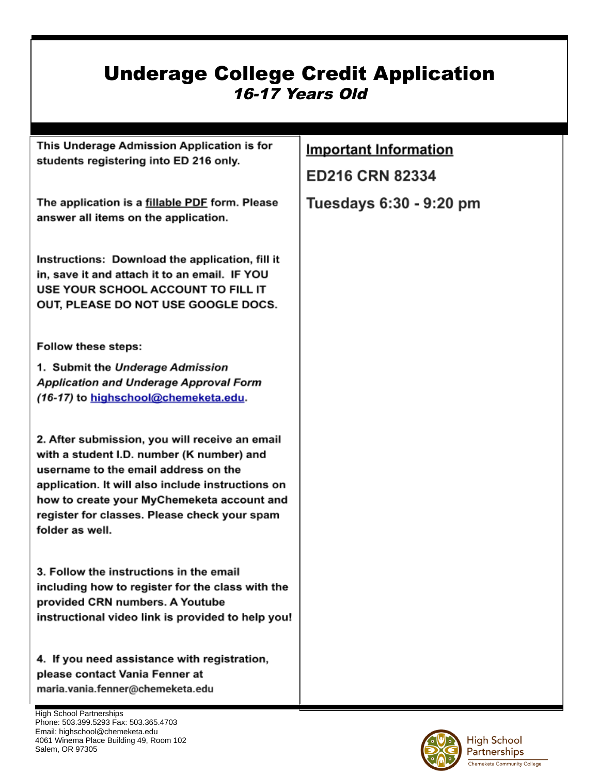## Underage College Credit Application 16-17 Years Old

| This Underage Admission Application is for<br>students registering into ED 216 only.                                                                                                                                                                                                                      | <b>Important Information</b><br>ED216 CRN 82334 |
|-----------------------------------------------------------------------------------------------------------------------------------------------------------------------------------------------------------------------------------------------------------------------------------------------------------|-------------------------------------------------|
| The application is a fillable PDF form. Please<br>answer all items on the application.                                                                                                                                                                                                                    | Tuesdays 6:30 - 9:20 pm                         |
| Instructions: Download the application, fill it<br>in, save it and attach it to an email. IF YOU<br>USE YOUR SCHOOL ACCOUNT TO FILL IT<br>OUT, PLEASE DO NOT USE GOOGLE DOCS.                                                                                                                             |                                                 |
| <b>Follow these steps:</b>                                                                                                                                                                                                                                                                                |                                                 |
| 1. Submit the Underage Admission<br><b>Application and Underage Approval Form</b><br>(16-17) to highschool@chemeketa.edu.                                                                                                                                                                                 |                                                 |
| 2. After submission, you will receive an email<br>with a student I.D. number (K number) and<br>username to the email address on the<br>application. It will also include instructions on<br>how to create your MyChemeketa account and<br>register for classes. Please check your spam<br>folder as well. |                                                 |
| 3. Follow the instructions in the email<br>including how to register for the class with the<br>provided CRN numbers. A Youtube<br>instructional video link is provided to help you!                                                                                                                       |                                                 |
| 4. If you need assistance with registration,<br>please contact Vania Fenner at<br>maria.vania.fenner@chemeketa.edu                                                                                                                                                                                        |                                                 |

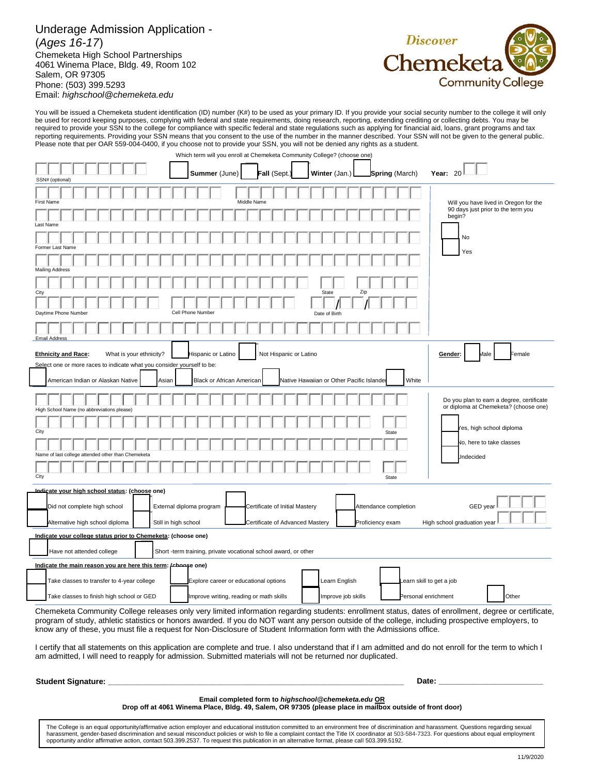## Underage Admission Application - (*Ages 16-17*) Chemeketa High School Partnerships 4061 Winema Place, Bldg. 49, Room 102 Salem, OR 97305 Phone: (503) 399.5293 Email: *highschool@chemeketa.edu*



You will be issued a Chemeketa student identification (ID) number (K#) to be used as your primary ID. If you provide your social security number to the college it will only be used for record keeping purposes, complying with federal and state requirements, doing research, reporting, extending crediting or collecting debts. You may be required to provide your SSN to the college for compliance with specific federal and state regulations such as applying for financial aid, loans, grant programs and tax reporting requirements. Providing your SSN means that you consent to the use of the number in the manner described. Your SSN will not be given to the general public. Please note that per OAR 559-004-0400, if you choose not to provide your SSN, you will not be denied any rights as a student.

Which term will you enroll at Chemeketa Community College? (choose one)

| oonogo , <sub>l</sub> ono<br>000 UHO<br>Year: $20$<br>Summer (June)<br>Fall (Sept.)<br>Winter (Jan.)<br><b>Spring (March)</b>                         |                                                                                    |  |
|-------------------------------------------------------------------------------------------------------------------------------------------------------|------------------------------------------------------------------------------------|--|
| SSN# (optional)                                                                                                                                       |                                                                                    |  |
| Middle Name<br><b>First Name</b>                                                                                                                      | Will you have lived in Oregon for the                                              |  |
| Last Name                                                                                                                                             | 90 days just prior to the term you<br>begin?                                       |  |
| Former Last Name                                                                                                                                      | <b>No</b>                                                                          |  |
| <b>Mailing Address</b>                                                                                                                                | Yes                                                                                |  |
|                                                                                                                                                       |                                                                                    |  |
| Zip<br>State<br>City                                                                                                                                  |                                                                                    |  |
| Daytime Phone Number<br>Cell Phone Number<br>Date of Birth                                                                                            |                                                                                    |  |
| <b>Email Address</b>                                                                                                                                  |                                                                                    |  |
|                                                                                                                                                       |                                                                                    |  |
| What is your ethnicity?<br>Hispanic or Latino<br>Not Hispanic or Latino<br><b>Ethnicity and Race:</b><br>Gender:                                      | Female<br>Male                                                                     |  |
| Select one or more races to indicate what you consider yourself to be:                                                                                |                                                                                    |  |
| White<br>Native Hawaiian or Other Pacific Islande<br>American Indian or Alaskan Native<br>Asian<br>Black or African American                          |                                                                                    |  |
| High School Name (no abbreviations please)                                                                                                            | Do you plan to earn a degree, certificate<br>or diploma at Chemeketa? (choose one) |  |
|                                                                                                                                                       |                                                                                    |  |
| City<br>State                                                                                                                                         | 'es, high school diploma                                                           |  |
|                                                                                                                                                       | No, here to take classes                                                           |  |
| Name of last college attended other than Chemeketa                                                                                                    | Jndecided                                                                          |  |
|                                                                                                                                                       |                                                                                    |  |
| City<br>State                                                                                                                                         |                                                                                    |  |
| undicate your high school status: (choose one)                                                                                                        |                                                                                    |  |
|                                                                                                                                                       |                                                                                    |  |
| Did not complete high school<br>External diploma program<br>Certificate of Initial Mastery<br>Attendance completion                                   | GED year                                                                           |  |
| Still in high school<br>Proficiency exam<br>Alternative high school diploma<br>Certificate of Advanced Mastery                                        | High school graduation year                                                        |  |
| Indicate your college status prior to Chemeketa: (choose one)                                                                                         |                                                                                    |  |
| Have not attended college<br>Short -term training, private vocational school award, or other                                                          |                                                                                    |  |
| Indicate the main reason you are here this term: (choose one)                                                                                         |                                                                                    |  |
| Take classes to transfer to 4-year college<br>Explore career or educational options<br>Learn English<br>Learn skill to get a job                      |                                                                                    |  |
| Improve job skills<br>Take classes to finish high school or GED<br>Improve writing, reading or math skills<br>Personal enrichment                     | Other                                                                              |  |
| Chemeketa Community College releases only very limited information regarding students: enrollment status, dates of enrollment, degree or certificate, |                                                                                    |  |

program of study, athletic statistics or honors awarded. If you do NOT want any person outside of the college, including prospective employers, to know any of these, you must file a request for Non-Disclosure of Student Information form with the Admissions office.

I certify that all statements on this application are complete and true. I also understand that if I am admitted and do not enroll for the term to which I am admitted, I will need to reapply for admission. Submitted materials will not be returned nor duplicated.

**Student Signature: \_\_\_\_\_\_\_\_\_\_\_\_\_\_\_\_\_\_\_\_\_\_\_\_\_\_\_\_\_\_\_\_\_\_\_\_\_\_\_\_\_\_\_\_\_\_\_\_\_\_\_\_\_\_\_\_\_\_\_\_\_\_\_\_\_\_\_\_ Date: \_\_\_\_\_\_\_\_\_\_\_\_\_\_\_\_\_\_\_\_\_\_\_\_**

## **Email completed form to** *highschool@chemeketa.edu* **OR**

**Drop off at 4061 Winema Place, Bldg. 49, Salem, OR 97305 (please place in mailbox outside of front door)** 

The College is an equal opportunity/affirmative action employer and educational institution committed to an environment free of discrimination and harassment. Questions regarding sexual harassment, gender-based discrimination and sexual misconduct policies or wish to file a complaint contact the Title IX coordinator at 503-584-7323. For questions about equal employment opportunity and/or affirmative action, contact 503.399.2537. To request this publication in an alternative format, please call 503.399.5192.